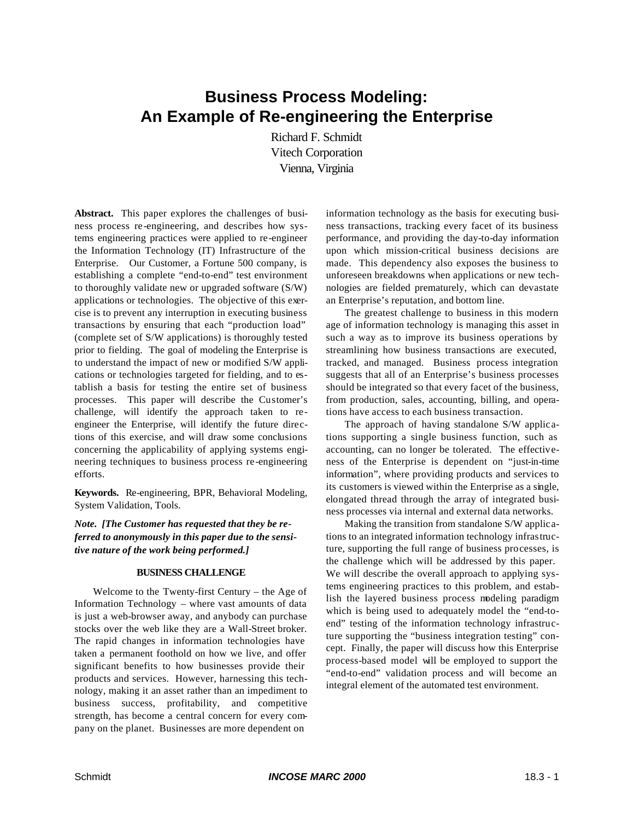# **Business Process Modeling: An Example of Re-engineering the Enterprise**

Richard F. Schmidt Vitech Corporation Vienna, Virginia

**Abstract.** This paper explores the challenges of business process re-engineering, and describes how systems engineering practices were applied to re-engineer the Information Technology (IT) Infrastructure of the Enterprise. Our Customer, a Fortune 500 company, is establishing a complete "end-to-end" test environment to thoroughly validate new or upgraded software (S/W) applications or technologies. The objective of this exercise is to prevent any interruption in executing business transactions by ensuring that each "production load" (complete set of S/W applications) is thoroughly tested prior to fielding. The goal of modeling the Enterprise is to understand the impact of new or modified S/W applications or technologies targeted for fielding, and to establish a basis for testing the entire set of business processes. This paper will describe the Customer's challenge, will identify the approach taken to reengineer the Enterprise, will identify the future directions of this exercise, and will draw some conclusions concerning the applicability of applying systems engineering techniques to business process re-engineering efforts.

**Keywords.** Re-engineering, BPR, Behavioral Modeling, System Validation, Tools.

*Note. [The Customer has requested that they be referred to anonymously in this paper due to the sensitive nature of the work being performed.]*

#### **BUSINESS CHALLENGE**

Welcome to the Twenty-first Century – the Age of Information Technology – where vast amounts of data is just a web-browser away, and anybody can purchase stocks over the web like they are a Wall-Street broker. The rapid changes in information technologies have taken a permanent foothold on how we live, and offer significant benefits to how businesses provide their products and services. However, harnessing this technology, making it an asset rather than an impediment to business success, profitability, and competitive strength, has become a central concern for every company on the planet. Businesses are more dependent on

information technology as the basis for executing business transactions, tracking every facet of its business performance, and providing the day-to-day information upon which mission-critical business decisions are made. This dependency also exposes the business to unforeseen breakdowns when applications or new technologies are fielded prematurely, which can devastate an Enterprise's reputation, and bottom line.

The greatest challenge to business in this modern age of information technology is managing this asset in such a way as to improve its business operations by streamlining how business transactions are executed, tracked, and managed. Business process integration suggests that all of an Enterprise's business processes should be integrated so that every facet of the business, from production, sales, accounting, billing, and operations have access to each business transaction.

The approach of having standalone S/W applications supporting a single business function, such as accounting, can no longer be tolerated. The effectiveness of the Enterprise is dependent on "just-in-time information", where providing products and services to its customers is viewed within the Enterprise as a single, elongated thread through the array of integrated business processes via internal and external data networks.

Making the transition from standalone S/W applications to an integrated information technology infrastructure, supporting the full range of business processes, is the challenge which will be addressed by this paper. We will describe the overall approach to applying systems engineering practices to this problem, and establish the layered business process modeling paradigm which is being used to adequately model the "end-toend" testing of the information technology infrastructure supporting the "business integration testing" concept. Finally, the paper will discuss how this Enterprise process-based model will be employed to support the "end-to-end" validation process and will become an integral element of the automated test environment.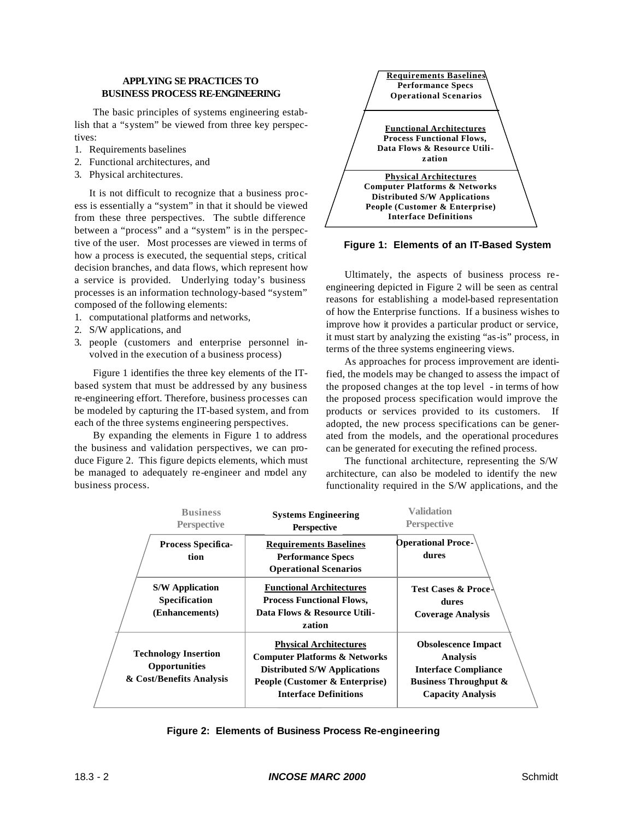# **APPLYING SE PRACTICES TO BUSINESS PROCESS RE-ENGINEERING**

The basic principles of systems engineering establish that a "system" be viewed from three key perspectives:

- 1. Requirements baselines
- 2. Functional architectures, and
- 3. Physical architectures.

It is not difficult to recognize that a business process is essentially a "system" in that it should be viewed from these three perspectives. The subtle difference between a "process" and a "system" is in the perspective of the user. Most processes are viewed in terms of how a process is executed, the sequential steps, critical decision branches, and data flows, which represent how a service is provided. Underlying today's business processes is an information technology-based "system" composed of the following elements:

- 1. computational platforms and networks,
- 2. S/W applications, and
- 3. people (customers and enterprise personnel involved in the execution of a business process)

Figure 1 identifies the three key elements of the ITbased system that must be addressed by any business re-engineering effort. Therefore, business processes can be modeled by capturing the IT-based system, and from each of the three systems engineering perspectives.

By expanding the elements in Figure 1 to address the business and validation perspectives, we can produce Figure 2. This figure depicts elements, which must be managed to adequately re-engineer and model any business process.



**Figure 1: Elements of an IT-Based System**

Ultimately, the aspects of business process reengineering depicted in Figure 2 will be seen as central reasons for establishing a model-based representation of how the Enterprise functions. If a business wishes to improve how it provides a particular product or service, it must start by analyzing the existing "as-is" process, in terms of the three systems engineering views.

As approaches for process improvement are identified, the models may be changed to assess the impact of the proposed changes at the top level - in terms of how the proposed process specification would improve the products or services provided to its customers. If adopted, the new process specifications can be generated from the models, and the operational procedures can be generated for executing the refined process.

The functional architecture, representing the S/W architecture, can also be modeled to identify the new functionality required in the S/W applications, and the

|  | <b>Business</b><br><b>Perspective</b>                                    | <b>Systems Engineering</b><br><b>Perspective</b>                                                                                                                                   | <b>Validation</b><br><b>Perspective</b>                                                                                               |
|--|--------------------------------------------------------------------------|------------------------------------------------------------------------------------------------------------------------------------------------------------------------------------|---------------------------------------------------------------------------------------------------------------------------------------|
|  | <b>Process Specifica-</b><br>tion                                        | <b>Requirements Baselines</b><br><b>Performance Specs</b><br><b>Operational Scenarios</b>                                                                                          | <b>Operational Proce-</b><br>dures                                                                                                    |
|  | <b>S/W Application</b><br><b>Specification</b><br>(Enhancements)         | <b>Functional Architectures</b><br><b>Process Functional Flows,</b><br>Data Flows & Resource Utili-<br>zation                                                                      | Test Cases & Proce<br>dures<br><b>Coverage Analysis</b>                                                                               |
|  | <b>Technology Insertion</b><br>Opportunities<br>& Cost/Benefits Analysis | <b>Physical Architectures</b><br><b>Computer Platforms &amp; Networks</b><br><b>Distributed S/W Applications</b><br>People (Customer & Enterprise)<br><b>Interface Definitions</b> | <b>Obsolescence Impact</b><br>Analysis<br><b>Interface Compliance</b><br><b>Business Throughput &amp;</b><br><b>Capacity Analysis</b> |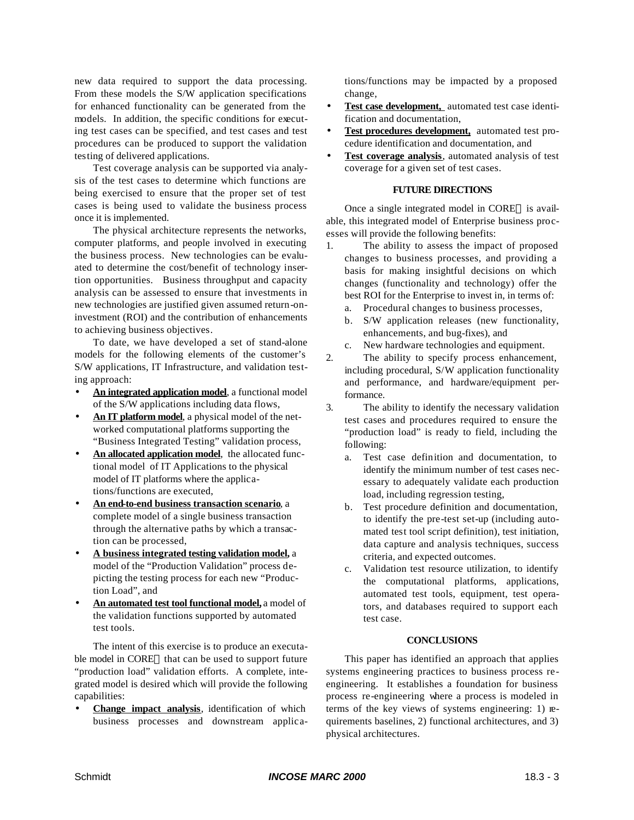new data required to support the data processing. From these models the S/W application specifications for enhanced functionality can be generated from the models. In addition, the specific conditions for executing test cases can be specified, and test cases and test procedures can be produced to support the validation testing of delivered applications.

Test coverage analysis can be supported via analysis of the test cases to determine which functions are being exercised to ensure that the proper set of test cases is being used to validate the business process once it is implemented.

The physical architecture represents the networks, computer platforms, and people involved in executing the business process. New technologies can be evaluated to determine the cost/benefit of technology insertion opportunities. Business throughput and capacity analysis can be assessed to ensure that investments in new technologies are justified given assumed return-oninvestment (ROI) and the contribution of enhancements to achieving business objectives.

To date, we have developed a set of stand-alone models for the following elements of the customer's S/W applications, IT Infrastructure, and validation testing approach:

- **An integrated application model**, a functional model of the S/W applications including data flows,
- **An IT platform model**, a physical model of the networked computational platforms supporting the "Business Integrated Testing" validation process,
- An allocated application model, the allocated functional model of IT Applications to the physical model of IT platforms where the applications/functions are executed,
- **An end-to-end business transaction scenario**, a complete model of a single business transaction through the alternative paths by which a transaction can be processed,
- **A business integrated testing validation model,** a model of the "Production Validation" process depicting the testing process for each new "Production Load", and
- **An automated test tool functional model,** a model of the validation functions supported by automated test tools.

The intent of this exercise is to produce an executable model in CORE® that can be used to support future "production load" validation efforts. A complete, integrated model is desired which will provide the following capabilities:

• **Change impact analysis**, identification of which business processes and downstream applications/functions may be impacted by a proposed change,

- Test case development, automated test case identification and documentation,
- **Test procedures development,** automated test procedure identification and documentation, and
- Test coverage analysis, automated analysis of test coverage for a given set of test cases.

### **FUTURE DIRECTIONS**

Once a single integrated model in CORE $@$  is available, this integrated model of Enterprise business processes will provide the following benefits:

- 1. The ability to assess the impact of proposed changes to business processes, and providing a basis for making insightful decisions on which changes (functionality and technology) offer the best ROI for the Enterprise to invest in, in terms of:
	- a. Procedural changes to business processes,
	- b. S/W application releases (new functionality, enhancements, and bug-fixes), and
	- c. New hardware technologies and equipment.
- 2. The ability to specify process enhancement, including procedural, S/W application functionality and performance, and hardware/equipment performance.
- 3. The ability to identify the necessary validation test cases and procedures required to ensure the "production load" is ready to field, including the following:
	- a. Test case definition and documentation, to identify the minimum number of test cases necessary to adequately validate each production load, including regression testing,
	- b. Test procedure definition and documentation, to identify the pre-test set-up (including automated test tool script definition), test initiation, data capture and analysis techniques, success criteria, and expected outcomes.
	- c. Validation test resource utilization, to identify the computational platforms, applications, automated test tools, equipment, test operators, and databases required to support each test case.

#### **CONCLUSIONS**

This paper has identified an approach that applies systems engineering practices to business process reengineering. It establishes a foundation for business process re-engineering where a process is modeled in terms of the key views of systems engineering: 1) requirements baselines, 2) functional architectures, and 3) physical architectures.